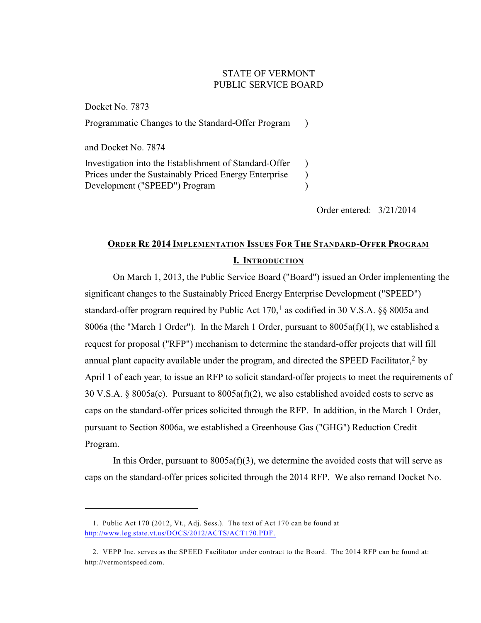## STATE OF VERMONT PUBLIC SERVICE BOARD

Docket No. 7873 Programmatic Changes to the Standard-Offer Program ) and Docket No. 7874 Investigation into the Establishment of Standard-Offer Prices under the Sustainably Priced Energy Enterprise Development ("SPEED") Program )  $\lambda$ )

Order entered: 3/21/2014

# **ORDER RE 2014 IMPLEMENTATION ISSUES FOR THE STANDARD-OFFER PROGRAM I. INTRODUCTION**

On March 1, 2013, the Public Service Board ("Board") issued an Order implementing the significant changes to the Sustainably Priced Energy Enterprise Development ("SPEED") standard-offer program required by Public Act  $170<sup>1</sup>$  as codified in 30 V.S.A. §§ 8005a and 8006a (the "March 1 Order"). In the March 1 Order, pursuant to  $8005a(f)(1)$ , we established a request for proposal ("RFP") mechanism to determine the standard-offer projects that will fill annual plant capacity available under the program, and directed the SPEED Facilitator, $2$  by April 1 of each year, to issue an RFP to solicit standard-offer projects to meet the requirements of 30 V.S.A. § 8005a(c). Pursuant to  $8005a(f)(2)$ , we also established avoided costs to serve as caps on the standard-offer prices solicited through the RFP. In addition, in the March 1 Order, pursuant to Section 8006a, we established a Greenhouse Gas ("GHG") Reduction Credit Program.

In this Order, pursuant to  $8005a(f)(3)$ , we determine the avoided costs that will serve as caps on the standard-offer prices solicited through the 2014 RFP. We also remand Docket No.

<sup>1.</sup> Public Act 170 (2012, Vt., Adj. Sess.). The text of Act 170 can be found at <http://www.leg.state.vt.us/DOCS/2012/ACTS/ACT170.PDF.>

<sup>2.</sup> VEPP Inc. serves as the SPEED Facilitator under contract to the Board. The 2014 RFP can be found at: http://vermontspeed.com.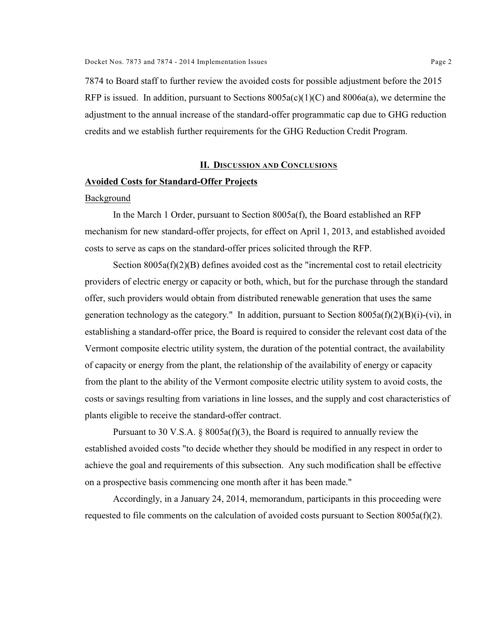7874 to Board staff to further review the avoided costs for possible adjustment before the 2015 RFP is issued. In addition, pursuant to Sections  $8005a(c)(1)(C)$  and  $8006a(a)$ , we determine the adjustment to the annual increase of the standard-offer programmatic cap due to GHG reduction credits and we establish further requirements for the GHG Reduction Credit Program.

## **II. DISCUSSION AND CONCLUSIONS**

## **Avoided Costs for Standard-Offer Projects**

#### Background

In the March 1 Order, pursuant to Section 8005a(f), the Board established an RFP mechanism for new standard-offer projects, for effect on April 1, 2013, and established avoided costs to serve as caps on the standard-offer prices solicited through the RFP.

Section 8005a(f)(2)(B) defines avoided cost as the "incremental cost to retail electricity providers of electric energy or capacity or both, which, but for the purchase through the standard offer, such providers would obtain from distributed renewable generation that uses the same generation technology as the category." In addition, pursuant to Section  $8005a(f)(2)(B)(i)-(vi)$ , in establishing a standard-offer price, the Board is required to consider the relevant cost data of the Vermont composite electric utility system, the duration of the potential contract, the availability of capacity or energy from the plant, the relationship of the availability of energy or capacity from the plant to the ability of the Vermont composite electric utility system to avoid costs, the costs or savings resulting from variations in line losses, and the supply and cost characteristics of plants eligible to receive the standard-offer contract.

Pursuant to 30 V.S.A. § 8005a(f)(3), the Board is required to annually review the established avoided costs "to decide whether they should be modified in any respect in order to achieve the goal and requirements of this subsection. Any such modification shall be effective on a prospective basis commencing one month after it has been made."

Accordingly, in a January 24, 2014, memorandum, participants in this proceeding were requested to file comments on the calculation of avoided costs pursuant to Section 8005a(f)(2).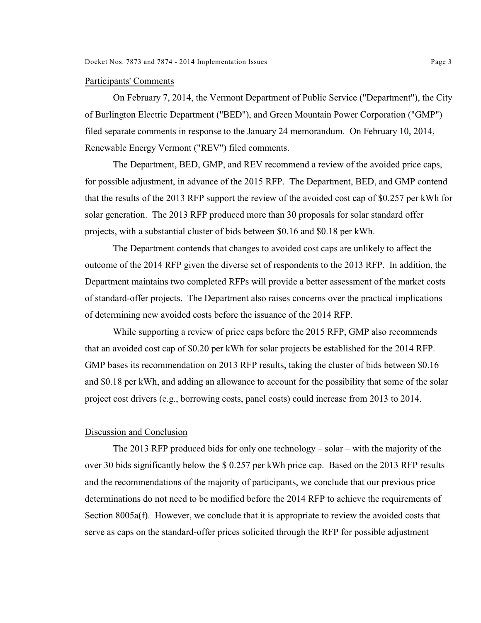#### Participants' Comments

On February 7, 2014, the Vermont Department of Public Service ("Department"), the City of Burlington Electric Department ("BED"), and Green Mountain Power Corporation ("GMP") filed separate comments in response to the January 24 memorandum. On February 10, 2014, Renewable Energy Vermont ("REV") filed comments.

The Department, BED, GMP, and REV recommend a review of the avoided price caps, for possible adjustment, in advance of the 2015 RFP. The Department, BED, and GMP contend that the results of the 2013 RFP support the review of the avoided cost cap of \$0.257 per kWh for solar generation. The 2013 RFP produced more than 30 proposals for solar standard offer projects, with a substantial cluster of bids between \$0.16 and \$0.18 per kWh.

The Department contends that changes to avoided cost caps are unlikely to affect the outcome of the 2014 RFP given the diverse set of respondents to the 2013 RFP. In addition, the Department maintains two completed RFPs will provide a better assessment of the market costs of standard-offer projects. The Department also raises concerns over the practical implications of determining new avoided costs before the issuance of the 2014 RFP.

While supporting a review of price caps before the 2015 RFP, GMP also recommends that an avoided cost cap of \$0.20 per kWh for solar projects be established for the 2014 RFP. GMP bases its recommendation on 2013 RFP results, taking the cluster of bids between \$0.16 and \$0.18 per kWh, and adding an allowance to account for the possibility that some of the solar project cost drivers (e.g., borrowing costs, panel costs) could increase from 2013 to 2014.

## Discussion and Conclusion

The 2013 RFP produced bids for only one technology – solar – with the majority of the over 30 bids significantly below the \$ 0.257 per kWh price cap. Based on the 2013 RFP results and the recommendations of the majority of participants, we conclude that our previous price determinations do not need to be modified before the 2014 RFP to achieve the requirements of Section 8005a(f). However, we conclude that it is appropriate to review the avoided costs that serve as caps on the standard-offer prices solicited through the RFP for possible adjustment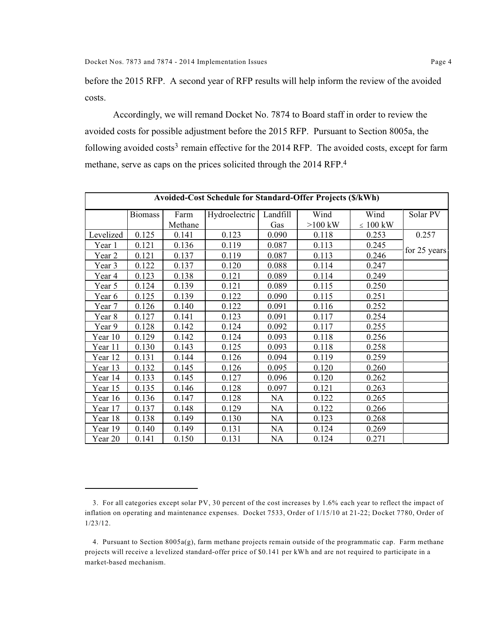before the 2015 RFP. A second year of RFP results will help inform the review of the avoided costs.

Accordingly, we will remand Docket No. 7874 to Board staff in order to review the avoided costs for possible adjustment before the 2015 RFP. Pursuant to Section 8005a, the following avoided costs<sup>3</sup> remain effective for the 2014 RFP. The avoided costs, except for farm methane, serve as caps on the prices solicited through the 2014 RFP.<sup>4</sup>

| Avoided-Cost Schedule for Standard-Offer Projects (\$/kWh) |                |         |               |          |           |               |              |  |
|------------------------------------------------------------|----------------|---------|---------------|----------|-----------|---------------|--------------|--|
|                                                            | <b>Biomass</b> | Farm    | Hydroelectric | Landfill | Wind      | Wind          | Solar PV     |  |
|                                                            |                | Methane |               | Gas      | $>100$ kW | $\leq 100$ kW |              |  |
| Levelized                                                  | 0.125          | 0.141   | 0.123         | 0.090    | 0.118     | 0.253         | 0.257        |  |
| Year 1                                                     | 0.121          | 0.136   | 0.119         | 0.087    | 0.113     | 0.245         |              |  |
| Year 2                                                     | 0.121          | 0.137   | 0.119         | 0.087    | 0.113     | 0.246         | for 25 years |  |
| Year 3                                                     | 0.122          | 0.137   | 0.120         | 0.088    | 0.114     | 0.247         |              |  |
| Year 4                                                     | 0.123          | 0.138   | 0.121         | 0.089    | 0.114     | 0.249         |              |  |
| Year 5                                                     | 0.124          | 0.139   | 0.121         | 0.089    | 0.115     | 0.250         |              |  |
| Year 6                                                     | 0.125          | 0.139   | 0.122         | 0.090    | 0.115     | 0.251         |              |  |
| Year 7                                                     | 0.126          | 0.140   | 0.122         | 0.091    | 0.116     | 0.252         |              |  |
| Year 8                                                     | 0.127          | 0.141   | 0.123         | 0.091    | 0.117     | 0.254         |              |  |
| Year 9                                                     | 0.128          | 0.142   | 0.124         | 0.092    | 0.117     | 0.255         |              |  |
| Year 10                                                    | 0.129          | 0.142   | 0.124         | 0.093    | 0.118     | 0.256         |              |  |
| Year 11                                                    | 0.130          | 0.143   | 0.125         | 0.093    | 0.118     | 0.258         |              |  |
| Year 12                                                    | 0.131          | 0.144   | 0.126         | 0.094    | 0.119     | 0.259         |              |  |
| Year 13                                                    | 0.132          | 0.145   | 0.126         | 0.095    | 0.120     | 0.260         |              |  |
| Year 14                                                    | 0.133          | 0.145   | 0.127         | 0.096    | 0.120     | 0.262         |              |  |
| Year 15                                                    | 0.135          | 0.146   | 0.128         | 0.097    | 0.121     | 0.263         |              |  |
| Year 16                                                    | 0.136          | 0.147   | 0.128         | NA       | 0.122     | 0.265         |              |  |
| Year $17$                                                  | 0.137          | 0.148   | 0.129         | NA       | 0.122     | 0.266         |              |  |
| Year 18                                                    | 0.138          | 0.149   | 0.130         | NA       | 0.123     | 0.268         |              |  |
| Year 19                                                    | 0.140          | 0.149   | 0.131         | NA       | 0.124     | 0.269         |              |  |
| Year 20                                                    | 0.141          | 0.150   | 0.131         | NA       | 0.124     | 0.271         |              |  |

<sup>3.</sup> For all categories except solar PV, 30 percent of the cost increases by 1.6% each year to reflect the impact of inflation on operating and maintenance expenses. Docket 7533, Order of 1/15/10 at 21-22; Docket 7780, Order of 1/23/12.

<sup>4.</sup> Pursuant to Section 8005a(g), farm methane projects remain outside of the programmatic cap. Farm methane projects will receive a levelized standard-offer price of \$0.141 per kWh and are not required to participate in a market-based mechanism.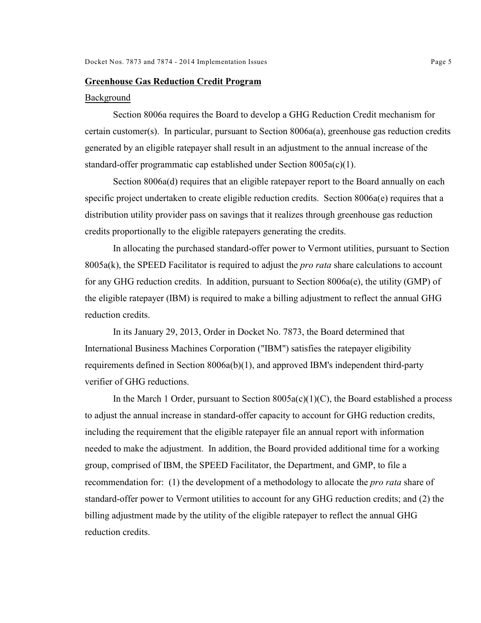#### **Greenhouse Gas Reduction Credit Program**

#### Background

Section 8006a requires the Board to develop a GHG Reduction Credit mechanism for certain customer(s). In particular, pursuant to Section 8006a(a), greenhouse gas reduction credits generated by an eligible ratepayer shall result in an adjustment to the annual increase of the standard-offer programmatic cap established under Section 8005a(c)(1).

Section 8006a(d) requires that an eligible ratepayer report to the Board annually on each specific project undertaken to create eligible reduction credits. Section 8006a(e) requires that a distribution utility provider pass on savings that it realizes through greenhouse gas reduction credits proportionally to the eligible ratepayers generating the credits.

In allocating the purchased standard-offer power to Vermont utilities, pursuant to Section 8005a(k), the SPEED Facilitator is required to adjust the *pro rata* share calculations to account for any GHG reduction credits. In addition, pursuant to Section 8006a(e), the utility (GMP) of the eligible ratepayer (IBM) is required to make a billing adjustment to reflect the annual GHG reduction credits.

In its January 29, 2013, Order in Docket No. 7873, the Board determined that International Business Machines Corporation ("IBM") satisfies the ratepayer eligibility requirements defined in Section 8006a(b)(1), and approved IBM's independent third-party verifier of GHG reductions.

In the March 1 Order, pursuant to Section  $8005a(c)(1)(C)$ , the Board established a process to adjust the annual increase in standard-offer capacity to account for GHG reduction credits, including the requirement that the eligible ratepayer file an annual report with information needed to make the adjustment. In addition, the Board provided additional time for a working group, comprised of IBM, the SPEED Facilitator, the Department, and GMP, to file a recommendation for: (1) the development of a methodology to allocate the *pro rata* share of standard-offer power to Vermont utilities to account for any GHG reduction credits; and (2) the billing adjustment made by the utility of the eligible ratepayer to reflect the annual GHG reduction credits.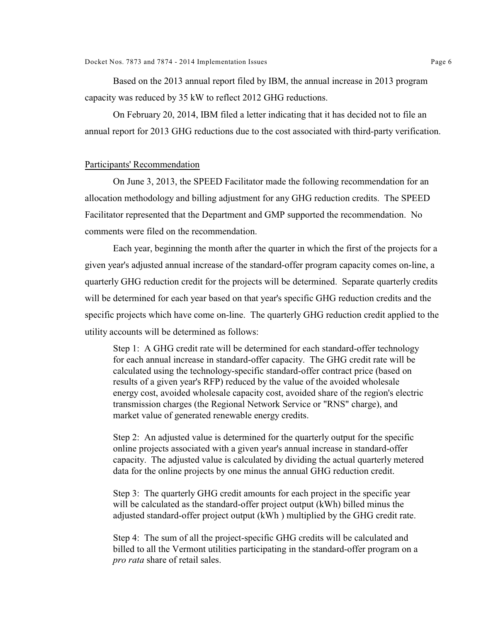Based on the 2013 annual report filed by IBM, the annual increase in 2013 program capacity was reduced by 35 kW to reflect 2012 GHG reductions.

On February 20, 2014, IBM filed a letter indicating that it has decided not to file an annual report for 2013 GHG reductions due to the cost associated with third-party verification.

## Participants' Recommendation

On June 3, 2013, the SPEED Facilitator made the following recommendation for an allocation methodology and billing adjustment for any GHG reduction credits. The SPEED Facilitator represented that the Department and GMP supported the recommendation. No comments were filed on the recommendation.

Each year, beginning the month after the quarter in which the first of the projects for a given year's adjusted annual increase of the standard-offer program capacity comes on-line, a quarterly GHG reduction credit for the projects will be determined. Separate quarterly credits will be determined for each year based on that year's specific GHG reduction credits and the specific projects which have come on-line. The quarterly GHG reduction credit applied to the utility accounts will be determined as follows:

Step 1: A GHG credit rate will be determined for each standard-offer technology for each annual increase in standard-offer capacity. The GHG credit rate will be calculated using the technology-specific standard-offer contract price (based on results of a given year's RFP) reduced by the value of the avoided wholesale energy cost, avoided wholesale capacity cost, avoided share of the region's electric transmission charges (the Regional Network Service or "RNS" charge), and market value of generated renewable energy credits.

Step 2: An adjusted value is determined for the quarterly output for the specific online projects associated with a given year's annual increase in standard-offer capacity. The adjusted value is calculated by dividing the actual quarterly metered data for the online projects by one minus the annual GHG reduction credit.

Step 3: The quarterly GHG credit amounts for each project in the specific year will be calculated as the standard-offer project output (kWh) billed minus the adjusted standard-offer project output (kWh ) multiplied by the GHG credit rate.

Step 4: The sum of all the project-specific GHG credits will be calculated and billed to all the Vermont utilities participating in the standard-offer program on a *pro rata* share of retail sales.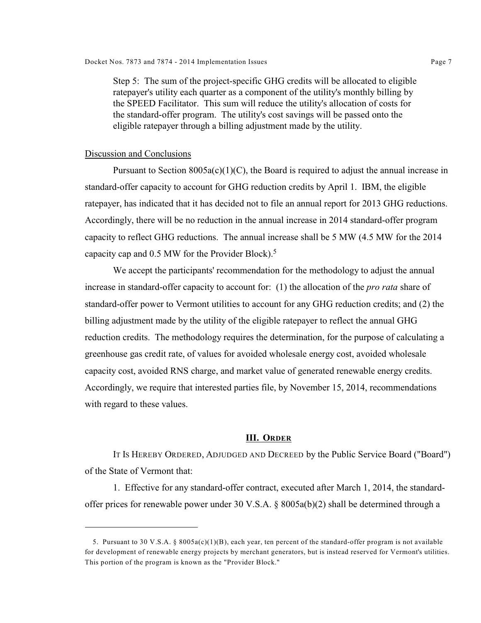Step 5: The sum of the project-specific GHG credits will be allocated to eligible ratepayer's utility each quarter as a component of the utility's monthly billing by the SPEED Facilitator. This sum will reduce the utility's allocation of costs for the standard-offer program. The utility's cost savings will be passed onto the eligible ratepayer through a billing adjustment made by the utility.

#### Discussion and Conclusions

Pursuant to Section  $8005a(c)(1)(C)$ , the Board is required to adjust the annual increase in standard-offer capacity to account for GHG reduction credits by April 1. IBM, the eligible ratepayer, has indicated that it has decided not to file an annual report for 2013 GHG reductions. Accordingly, there will be no reduction in the annual increase in 2014 standard-offer program capacity to reflect GHG reductions. The annual increase shall be 5 MW (4.5 MW for the 2014 capacity cap and 0.5 MW for the Provider Block).<sup>5</sup>

We accept the participants' recommendation for the methodology to adjust the annual increase in standard-offer capacity to account for: (1) the allocation of the *pro rata* share of standard-offer power to Vermont utilities to account for any GHG reduction credits; and (2) the billing adjustment made by the utility of the eligible ratepayer to reflect the annual GHG reduction credits. The methodology requires the determination, for the purpose of calculating a greenhouse gas credit rate, of values for avoided wholesale energy cost, avoided wholesale capacity cost, avoided RNS charge, and market value of generated renewable energy credits. Accordingly, we require that interested parties file, by November 15, 2014, recommendations with regard to these values.

## **III. ORDER**

IT IS HEREBY ORDERED, ADJUDGED AND DECREED by the Public Service Board ("Board") of the State of Vermont that:

1. Effective for any standard-offer contract, executed after March 1, 2014, the standardoffer prices for renewable power under 30 V.S.A. § 8005a(b)(2) shall be determined through a

<sup>5.</sup> Pursuant to 30 V.S.A. §  $8005a(c)(1)(B)$ , each year, ten percent of the standard-offer program is not available for development of renewable energy projects by merchant generators, but is instead reserved for Vermont's utilities. This portion of the program is known as the "Provider Block."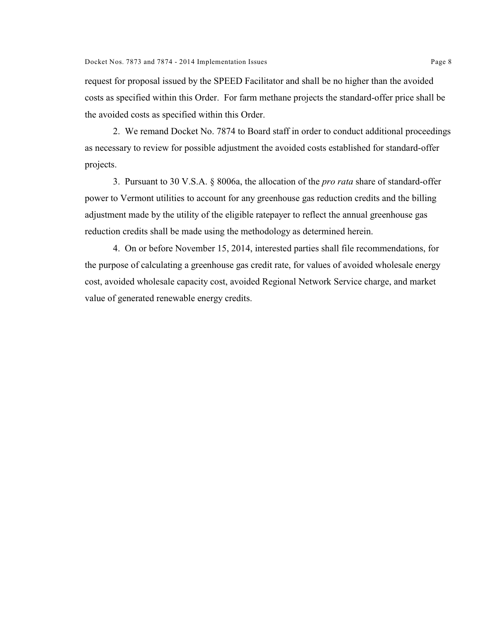request for proposal issued by the SPEED Facilitator and shall be no higher than the avoided costs as specified within this Order. For farm methane projects the standard-offer price shall be the avoided costs as specified within this Order.

2. We remand Docket No. 7874 to Board staff in order to conduct additional proceedings as necessary to review for possible adjustment the avoided costs established for standard-offer projects.

3. Pursuant to 30 V.S.A. § 8006a, the allocation of the *pro rata* share of standard-offer power to Vermont utilities to account for any greenhouse gas reduction credits and the billing adjustment made by the utility of the eligible ratepayer to reflect the annual greenhouse gas reduction credits shall be made using the methodology as determined herein.

4. On or before November 15, 2014, interested parties shall file recommendations, for the purpose of calculating a greenhouse gas credit rate, for values of avoided wholesale energy cost, avoided wholesale capacity cost, avoided Regional Network Service charge, and market value of generated renewable energy credits.